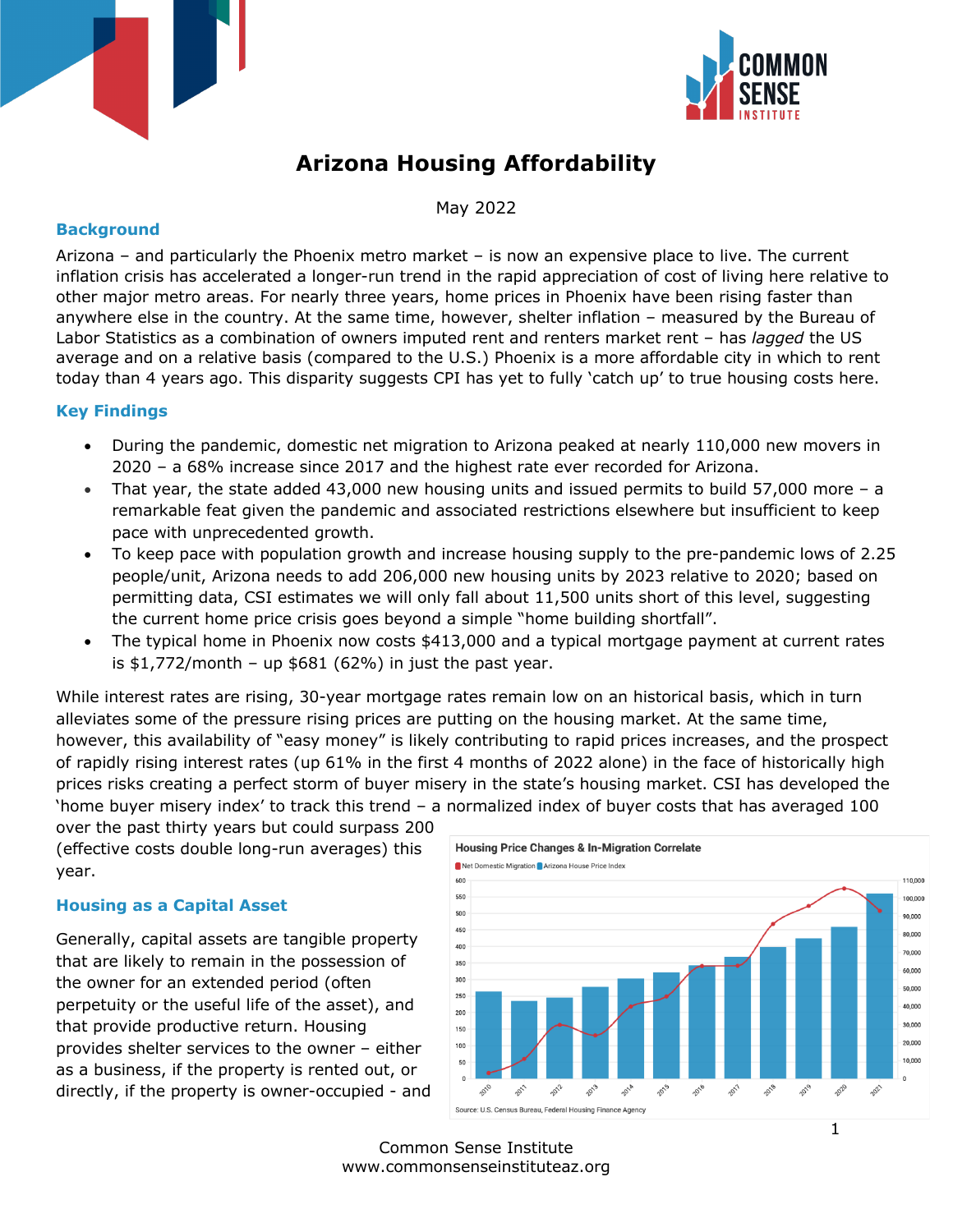



# **Arizona Housing Affordability**

May 2022

## **Background**

Arizona – and particularly the Phoenix metro market – is now an expensive place to live. The current inflation crisis has accelerated a longer-run trend in the rapid appreciation of cost of living here relative to other major metro areas. For nearly three years, home prices in Phoenix have been rising faster than anywhere else in the country. At the same time, however, shelter inflation – measured by the Bureau of Labor Statistics as a combination of owners imputed rent and renters market rent – has *lagged* the US average and on a relative basis (compared to the U.S.) Phoenix is a more affordable city in which to rent today than 4 years ago. This disparity suggests CPI has yet to fully 'catch up' to true housing costs here.

## **Key Findings**

- During the pandemic, domestic net migration to Arizona peaked at nearly 110,000 new movers in 2020 – a 68% increase since 2017 and the highest rate ever recorded for Arizona.
- That year, the state added 43,000 new housing units and issued permits to build 57,000 more a remarkable feat given the pandemic and associated restrictions elsewhere but insufficient to keep pace with unprecedented growth.
- To keep pace with population growth and increase housing supply to the pre-pandemic lows of 2.25 people/unit, Arizona needs to add 206,000 new housing units by 2023 relative to 2020; based on permitting data, CSI estimates we will only fall about 11,500 units short of this level, suggesting the current home price crisis goes beyond a simple "home building shortfall".
- The typical home in Phoenix now costs \$413,000 and a typical mortgage payment at current rates is  $$1,772/m$  onth – up  $$681 (62%)$  in just the past year.

While interest rates are rising, 30-year mortgage rates remain low on an historical basis, which in turn alleviates some of the pressure rising prices are putting on the housing market. At the same time, however, this availability of "easy money" is likely contributing to rapid prices increases, and the prospect of rapidly rising interest rates (up 61% in the first 4 months of 2022 alone) in the face of historically high prices risks creating a perfect storm of buyer misery in the state's housing market. CSI has developed the 'home buyer misery index' to track this trend – a normalized index of buyer costs that has averaged 100

over the past thirty years but could surpass 200 (effective costs double long-run averages) this year.

#### **Housing as a Capital Asset**

Generally, capital assets are tangible property that are likely to remain in the possession of the owner for an extended period (often perpetuity or the useful life of the asset), and that provide productive return. Housing provides shelter services to the owner – either as a business, if the property is rented out, or directly, if the property is owner-occupied - and

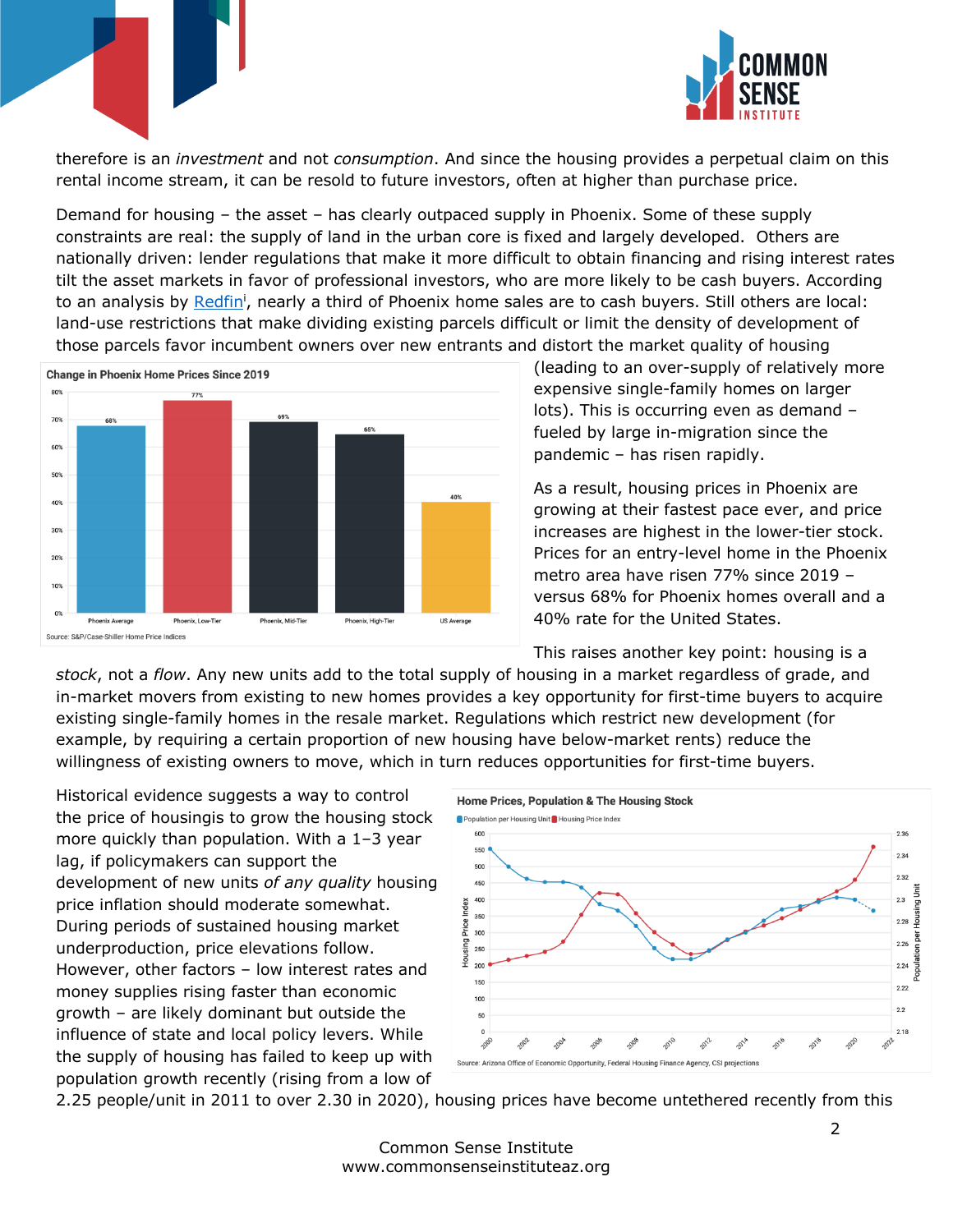



therefore is an *investment* and not *consumption*. And since the housing provides a perpetual claim on this rental income stream, it can be resold to future investors, often at higher than purchase price.

Demand for housing – the asset – has clearly outpaced supply in Phoenix. Some of these supply constraints are real: the supply of land in the urban core is fixed and largely developed. Others are nationally driven: lender regulations that make it more difficult to obtain financing and rising interest rates tilt the asset markets in favor of professional investors, who are more likely to be cash buyers. According to an analysis by Redfin<sup>i</sup>, nearly a third of Phoenix home sales are to cash buyers. Still others are local: land-use restrictions that make dividing existing parcels difficult or limit the density of development of those parcels favor incumbent owners over new entrants and distort the market quality of housing



(leading to an over-supply of relatively more expensive single-family homes on larger lots). This is occurring even as demand – fueled by large in-migration since the pandemic – has risen rapidly.

As a result, housing prices in Phoenix are growing at their fastest pace ever, and price increases are highest in the lower-tier stock. Prices for an entry-level home in the Phoenix metro area have risen 77% since 2019 – versus 68% for Phoenix homes overall and a 40% rate for the United States.

This raises another key point: housing is a

*stock*, not a *flow*. Any new units add to the total supply of housing in a market regardless of grade, and in-market movers from existing to new homes provides a key opportunity for first-time buyers to acquire existing single-family homes in the resale market. Regulations which restrict new development (for example, by requiring a certain proportion of new housing have below-market rents) reduce the willingness of existing owners to move, which in turn reduces opportunities for first-time buyers.

Historical evidence suggests a way to control the price of housingis to grow the housing stock more quickly than population. With a 1–3 year lag, if policymakers can support the development of new units *of any quality* housing price inflation should moderate somewhat. During periods of sustained housing market underproduction, price elevations follow. However, other factors – low interest rates and money supplies rising faster than economic growth – are likely dominant but outside the influence of state and local policy levers. While the supply of housing has failed to keep up with population growth recently (rising from a low of



2.25 people/unit in 2011 to over 2.30 in 2020), housing prices have become untethered recently from this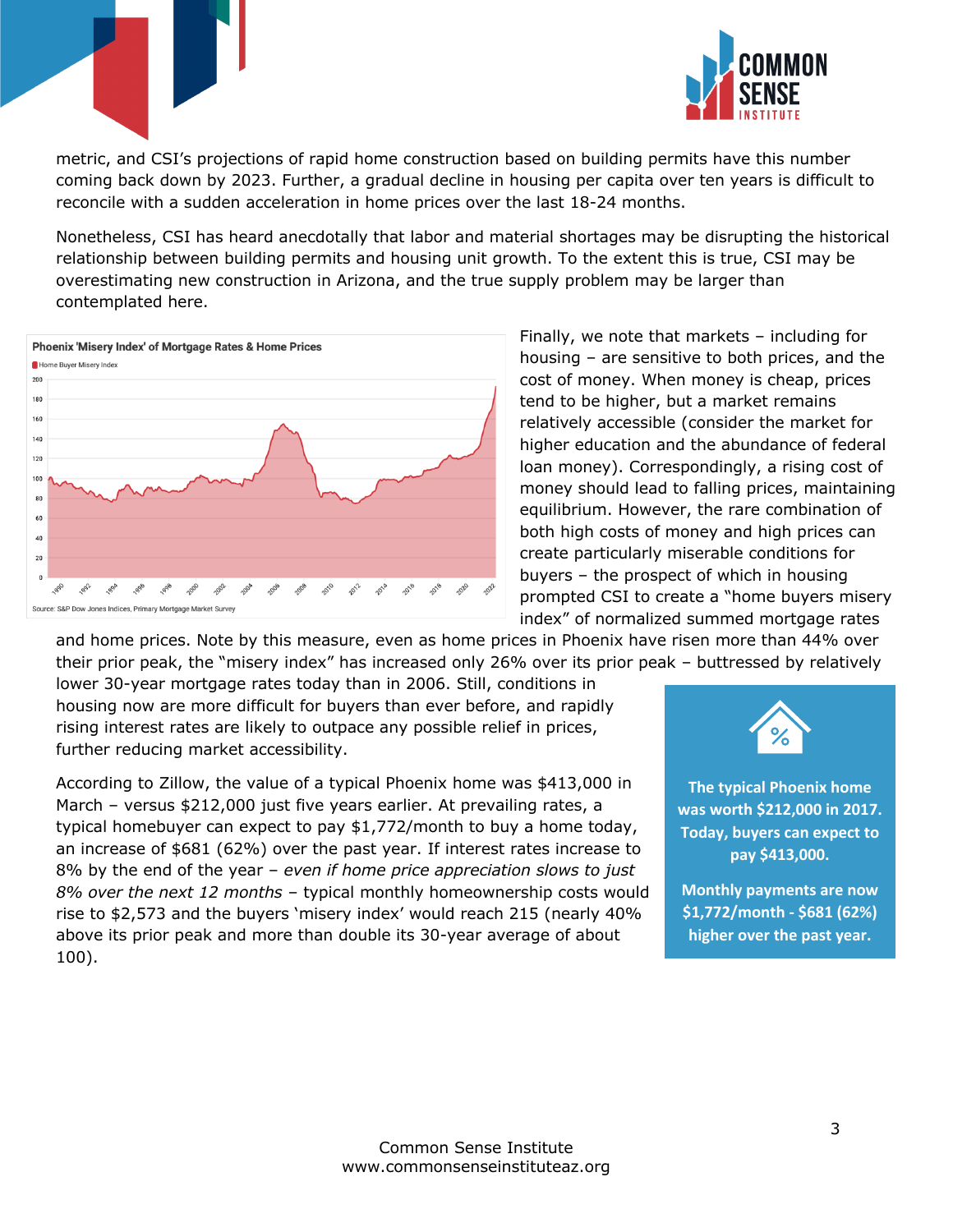



Finally, we note that markets – including for housing – are sensitive to both prices, and the cost of money. When money is cheap, prices tend to be higher, but a market remains relatively accessible (consider the market for higher education and the abundance of federal loan money). Correspondingly, a rising cost of money should lead to falling prices, maintaining equilibrium. However, the rare combination of both high costs of money and high prices can create particularly miserable conditions for buyers – the prospect of which in housing prompted CSI to create a "home buyers misery

metric, and CSI's projections of rapid home construction based on building permits have this number coming back down by 2023. Further, a gradual decline in housing per capita over ten years is difficult to reconcile with a sudden acceleration in home prices over the last 18-24 months.

Nonetheless, CSI has heard anecdotally that labor and material shortages may be disrupting the historical relationship between building permits and housing unit growth. To the extent this is true, CSI may be overestimating new construction in Arizona, and the true supply problem may be larger than contemplated here.



index" of normalized summed mortgage rates and home prices. Note by this measure, even as home prices in Phoenix have risen more than 44% over

their prior peak, the "misery index" has increased only 26% over its prior peak – buttressed by relatively lower 30-year mortgage rates today than in 2006. Still, conditions in housing now are more difficult for buyers than ever before, and rapidly rising interest rates are likely to outpace any possible relief in prices, further reducing market accessibility.

According to Zillow, the value of a typical Phoenix home was \$413,000 in March – versus \$212,000 just five years earlier. At prevailing rates, a typical homebuyer can expect to pay \$1,772/month to buy a home today, an increase of \$681 (62%) over the past year. If interest rates increase to 8% by the end of the year – *even if home price appreciation slows to just 8% over the next 12 months* – typical monthly homeownership costs would rise to \$2,573 and the buyers 'misery index' would reach 215 (nearly 40% above its prior peak and more than double its 30-year average of about 100).



**The typical Phoenix home was worth \$212,000 in 2017. Today, buyers can expect to pay \$413,000.**

**Monthly payments are now \$1,772/month - \$681 (62%) higher over the past year.**